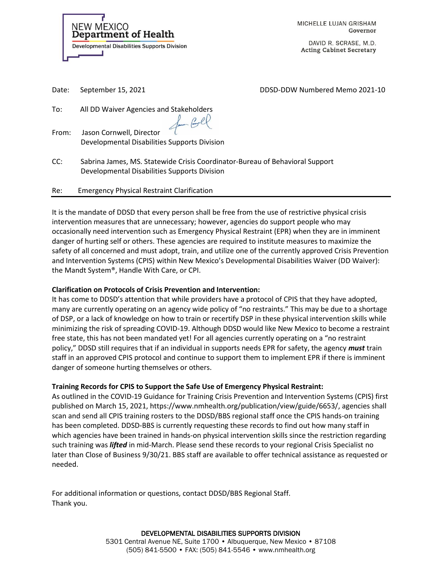NEW MEXICO Department of Health **Developmental Disabilities Supports Division**  MICHELLE LUJAN GRISHAM Governor

DAVID R. SCRASE, M.D. **Acting Cabinet Secretary** 

Date: September 15, 2021 **DDSD-DDW Numbered Memo 2021-10** 

To: All DD Waiver Agencies and Stakeholders

From: Jason Cornwell, Director Developmental Disabilities Supports Division

CC: Sabrina James, MS. Statewide Crisis Coordinator-Bureau of Behavioral Support Developmental Disabilities Supports Division

- Rugl

Re: Emergency Physical Restraint Clarification

It is the mandate of DDSD that every person shall be free from the use of restrictive physical crisis intervention measures that are unnecessary; however, agencies do support people who may occasionally need intervention such as Emergency Physical Restraint (EPR) when they are in imminent danger of hurting self or others. These agencies are required to institute measures to maximize the safety of all concerned and must adopt, train, and utilize one of the currently approved Crisis Prevention and Intervention Systems (CPIS) within New Mexico's Developmental Disabilities Waiver (DD Waiver): the Mandt System®, Handle With Care, or CPI.

## **Clarification on Protocols of Crisis Prevention and Intervention:**

It has come to DDSD's attention that while providers have a protocol of CPIS that they have adopted, many are currently operating on an agency wide policy of "no restraints." This may be due to a shortage of DSP, or a lack of knowledge on how to train or recertify DSP in these physical intervention skills while minimizing the risk of spreading COVID-19. Although DDSD would like New Mexico to become a restraint free state, this has not been mandated yet! For all agencies currently operating on a "no restraint policy," DDSD still requires that if an individual in supports needs EPR for safety, the agency *must* train staff in an approved CPIS protocol and continue to support them to implement EPR if there is imminent danger of someone hurting themselves or others.

## **Training Records for CPIS to Support the Safe Use of Emergency Physical Restraint:**

As outlined in the COVID-19 Guidance for Training Crisis Prevention and Intervention Systems (CPIS) first published on March 15, 2021, https://www.nmhealth.org/publication/view/guide/6653/, agencies shall scan and send all CPIS training rosters to the DDSD/BBS regional staff once the CPIS hands-on training has been completed. DDSD-BBS is currently requesting these records to find out how many staff in which agencies have been trained in hands-on physical intervention skills since the restriction regarding such training was *lifted* in mid-March. Please send these records to your regional Crisis Specialist no later than Close of Business 9/30/21. BBS staff are available to offer technical assistance as requested or needed.

For additional information or questions, contact DDSD/BBS Regional Staff. Thank you.